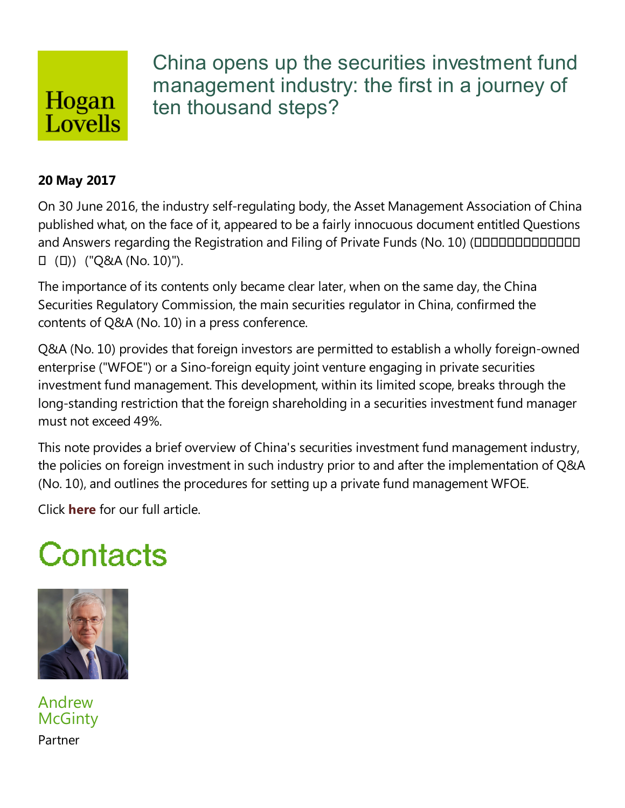## Hogan Lovells

China opens up the securities investment fund management industry: the first in a journey of ten thousand steps?

#### **20 May 2017**

On 30 June 2016, the industry self-regulating body, the Asset Management Association of China published what, on the face of it, appeared to be a fairly innocuous document entitled Questions and Answers regarding the Registration and Filing of Private Funds (No. 10) (ODDDDDDDDDDDDDDDDDDDDDDDDDDDDDDDDD  $\Box$  ( $\Box$ )) ("Q&A (No. 10)").

The importance of its contents only became clear later, when on the same day, the China Securities Regulatory Commission, the main securities regulator in China, confirmed the contents of Q&A (No. 10) in a press conference.

Q&A (No. 10) provides that foreign investors are permitted to establish a wholly foreign-owned enterprise ("WFOE") or a Sino-foreign equity joint venture engaging in private securities investment fund management.This development, within its limited scope, breaks through the long-standing restriction that the foreign shareholding in a securities investment fund manager must not exceed 49%.

This note provides a brief overview of China's securities investment fund management industry, the policies on foreign investment in such industry prior to and after the implementation of Q&A  $(No. 10)$ , and outlines the procedures for setting up a private fund management WFOE.

Click **here** for our full article.

# Contacts



Andrew **McGinty** Partner